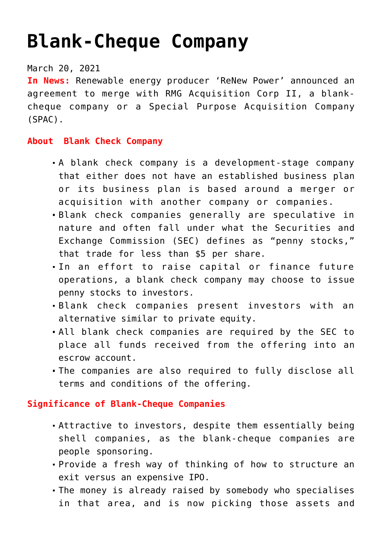# **[Blank-Cheque Company](https://journalsofindia.com/blank-cheque-company/)**

## March 20, 2021

**In News:** Renewable energy producer 'ReNew Power' announced an agreement to merge with RMG Acquisition Corp II, a blankcheque company or a Special Purpose Acquisition Company (SPAC).

#### **About Blank Check Company**

- A blank check company is a development-stage company that either does not have an established business plan or its business plan is based around a merger or acquisition with another company or companies.
- Blank check companies generally are speculative in nature and often fall under what the Securities and Exchange Commission (SEC) defines as "penny stocks," that trade for less than \$5 per share.
- In an effort to raise capital or finance future operations, a blank check company may choose to issue penny stocks to investors.
- Blank check companies present investors with an alternative similar to private equity.
- All blank check companies are required by the SEC to place all funds received from the offering into an escrow account.
- The companies are also required to fully disclose all terms and conditions of the offering.

## **Significance of Blank-Cheque Companies**

- Attractive to investors, despite them essentially being shell companies, as the blank-cheque companies are people sponsoring.
- Provide a fresh way of thinking of how to structure an exit versus an expensive IPO.
- The money is already raised by somebody who specialises in that area, and is now picking those assets and